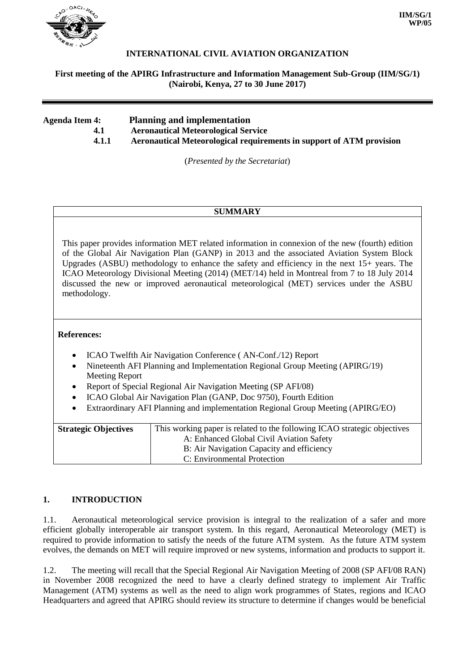

| Agenda Item 4: | <b>Planning and implementation</b>                                   |
|----------------|----------------------------------------------------------------------|
| 4.1            | <b>Aeronautical Meteorological Service</b>                           |
| 4.1.1          | Aeronautical Meteorological requirements in support of ATM provision |

(*Presented by the Secretariat*)

# **SUMMARY**

This paper provides information MET related information in connexion of the new (fourth) edition of the Global Air Navigation Plan (GANP) in 2013 and the associated Aviation System Block Upgrades (ASBU) methodology to enhance the safety and efficiency in the next 15+ years. The ICAO Meteorology Divisional Meeting (2014) (MET/14) held in Montreal from 7 to 18 July 2014 discussed the new or improved aeronautical meteorological (MET) services under the ASBU methodology.

### **References:**

- ICAO Twelfth Air Navigation Conference (AN-Conf./12) Report
- Nineteenth AFI Planning and Implementation Regional Group Meeting (APIRG/19) Meeting Report
- Report of Special Regional Air Navigation Meeting (SP AFI/08)
- ICAO Global Air Navigation Plan (GANP, Doc 9750), Fourth Edition
- Extraordinary AFI Planning and implementation Regional Group Meeting (APIRG/EO)

| <b>Strategic Objectives</b> | This working paper is related to the following ICAO strategic objectives |
|-----------------------------|--------------------------------------------------------------------------|
|                             | A: Enhanced Global Civil Aviation Safety                                 |
|                             | B: Air Navigation Capacity and efficiency                                |
|                             | C: Environmental Protection                                              |

# **1. INTRODUCTION**

1.1. Aeronautical meteorological service provision is integral to the realization of a safer and more efficient globally interoperable air transport system. In this regard, Aeronautical Meteorology (MET) is required to provide information to satisfy the needs of the future ATM system. As the future ATM system evolves, the demands on MET will require improved or new systems, information and products to support it.

1.2. The meeting will recall that the Special Regional Air Navigation Meeting of 2008 (SP AFI/08 RAN) in November 2008 recognized the need to have a clearly defined strategy to implement Air Traffic Management (ATM) systems as well as the need to align work programmes of States, regions and ICAO Headquarters and agreed that APIRG should review its structure to determine if changes would be beneficial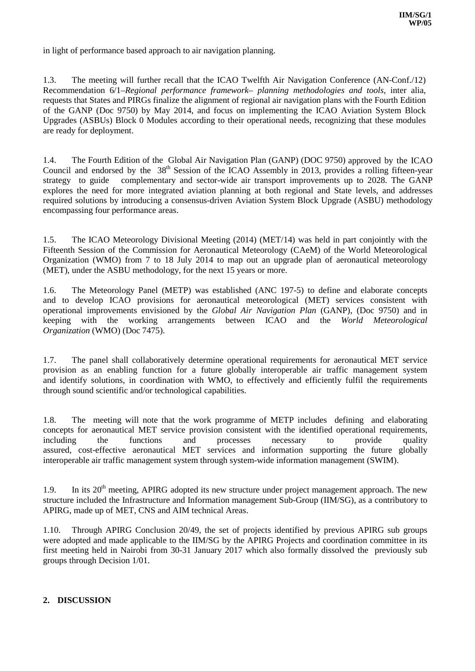in light of performance based approach to air navigation planning.

1.3. The meeting will further recall that the ICAO Twelfth Air Navigation Conference (AN-Conf./12) Recommendation 6/1–*Regional performance framework– planning methodologies and tools*, inter alia, requests that States and PIRGs finalize the alignment of regional air navigation plans with the Fourth Edition of the GANP (Doc 9750) by May 2014, and focus on implementing the ICAO Aviation System Block Upgrades (ASBUs) Block 0 Modules according to their operational needs, recognizing that these modules are ready for deployment.

1.4. The Fourth Edition of the Global Air Navigation Plan (GANP) (DOC 9750) approved by the ICAO Council and endorsed by the 38<sup>th</sup> Session of the ICAO Assembly in 2013, provides a rolling fifteen-year strategy to guide complementary and sector-wide air transport improvements up to 2028. The GANP explores the need for more integrated aviation planning at both regional and State levels, and addresses required solutions by introducing a consensus-driven Aviation System Block Upgrade (ASBU) methodology encompassing four performance areas.

1.5. The ICAO Meteorology Divisional Meeting (2014) (MET/14) was held in part conjointly with the Fifteenth Session of the Commission for Aeronautical Meteorology (CAeM) of the World Meteorological Organization (WMO) from 7 to 18 July 2014 to map out an upgrade plan of aeronautical meteorology (MET), under the ASBU methodology, for the next 15 years or more.

1.6. The Meteorology Panel (METP) was established (ANC 197-5) to define and elaborate concepts and to develop ICAO provisions for aeronautical meteorological (MET) services consistent with operational improvements envisioned by the *Global Air Navigation Plan* (GANP), (Doc 9750) and in keeping with the working arrangements between ICAO and the *World Meteorological Organization* (WMO) (Doc 7475).

1.7. The panel shall collaboratively determine operational requirements for aeronautical MET service provision as an enabling function for a future globally interoperable air traffic management system and identify solutions, in coordination with WMO, to effectively and efficiently fulfil the requirements through sound scientific and/or technological capabilities.

1.8. The meeting will note that the work programme of METP includes defining and elaborating concepts for aeronautical MET service provision consistent with the identified operational requirements, including the functions and processes necessary to provide quality assured, cost-effective aeronautical MET services and information supporting the future globally interoperable air traffic management system through system-wide information management (SWIM).

1.9. In its  $20<sup>th</sup>$  meeting, APIRG adopted its new structure under project management approach. The new structure included the Infrastructure and Information management Sub-Group (IIM/SG), as a contributory to APIRG, made up of MET, CNS and AIM technical Areas.

1.10. Through APIRG Conclusion 20/49, the set of projects identified by previous APIRG sub groups were adopted and made applicable to the IIM/SG by the APIRG Projects and coordination committee in its first meeting held in Nairobi from 30-31 January 2017 which also formally dissolved the previously sub groups through Decision 1/01.

### **2. DISCUSSION**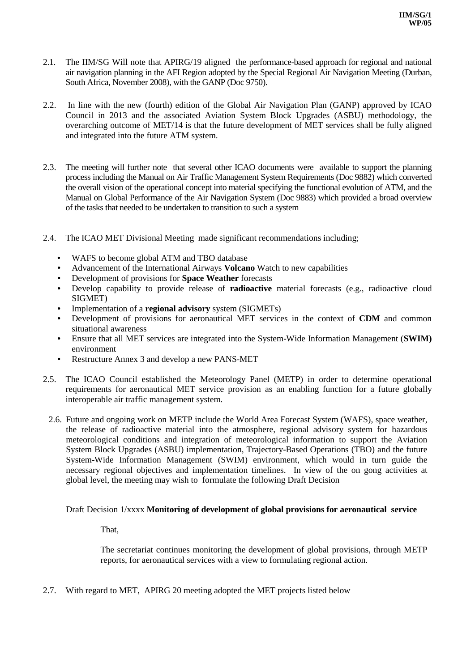- 2.1. The IIM/SG Will note that APIRG/19 aligned the performance-based approach for regional and national air navigation planning in the AFI Region adopted by the Special Regional Air Navigation Meeting (Durban, South Africa, November 2008), with the GANP (Doc 9750).
- 2.2. In line with the new (fourth) edition of the Global Air Navigation Plan (GANP) approved by ICAO Council in 2013 and the associated Aviation System Block Upgrades (ASBU) methodology, the overarching outcome of MET/14 is that the future development of MET services shall be fully aligned and integrated into the future ATM system.
- 2.3. The meeting will further note that several other ICAO documents were available to support the planning process including the Manual on Air Traffic Management System Requirements (Doc 9882) which converted the overall vision of the operational concept into material specifying the functional evolution of ATM, and the Manual on Global Performance of the Air Navigation System (Doc 9883) which provided a broad overview of the tasks that needed to be undertaken to transition to such a system
- 2.4. The ICAO MET Divisional Meeting made significant recommendations including;
	- WAFS to become global ATM and TBO database
	- Advancement of the International Airways **Volcano** Watch to new capabilities
	- Development of provisions for **Space Weather** forecasts
	- Develop capability to provide release of **radioactive** material forecasts (e.g., radioactive cloud SIGMET)
	- Implementation of a **regional advisory** system (SIGMETs)
	- Development of provisions for aeronautical MET services in the context of **CDM** and common situational awareness
	- Ensure that all MET services are integrated into the System-Wide Information Management (**SWIM)**  environment
	- Restructure Annex 3 and develop a new PANS-MET
- 2.5. The ICAO Council established the Meteorology Panel (METP) in order to determine operational requirements for aeronautical MET service provision as an enabling function for a future globally interoperable air traffic management system.
- 2.6. Future and ongoing work on METP include the World Area Forecast System (WAFS), space weather, the release of radioactive material into the atmosphere, regional advisory system for hazardous meteorological conditions and integration of meteorological information to support the Aviation System Block Upgrades (ASBU) implementation, Trajectory-Based Operations (TBO) and the future System-Wide Information Management (SWIM) environment, which would in turn guide the necessary regional objectives and implementation timelines. In view of the on gong activities at global level, the meeting may wish to formulate the following Draft Decision

#### Draft Decision 1/xxxx **Monitoring of development of global provisions for aeronautical service**

That,

The secretariat continues monitoring the development of global provisions, through METP reports, for aeronautical services with a view to formulating regional action.

2.7. With regard to MET, APIRG 20 meeting adopted the MET projects listed below